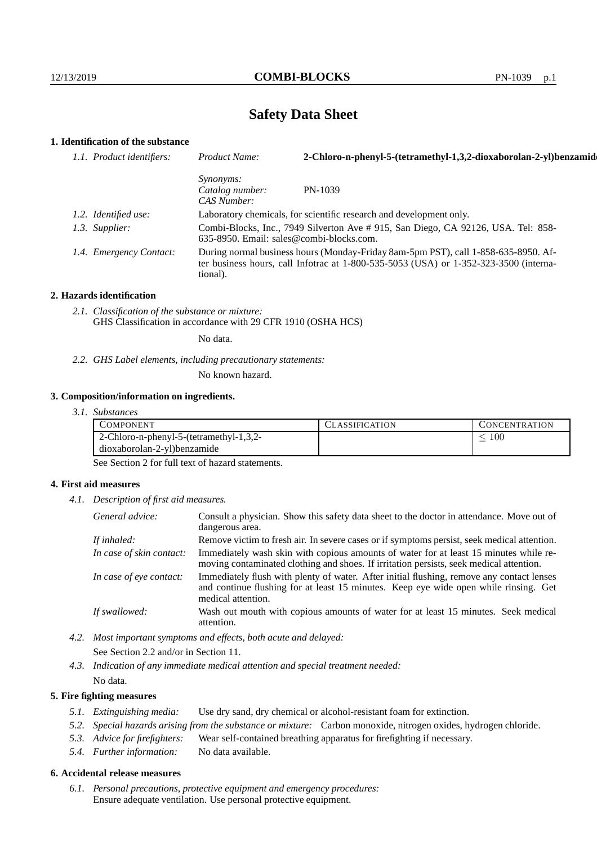# **Safety Data Sheet**

## **1. Identification of the substance**

| 1.1. Product identifiers: | Product Name:                                                                                                                                                                           | 2-Chloro-n-phenyl-5-(tetramethyl-1,3,2-dioxaborolan-2-yl)benzamid                 |
|---------------------------|-----------------------------------------------------------------------------------------------------------------------------------------------------------------------------------------|-----------------------------------------------------------------------------------|
|                           | Synonyms:<br>Catalog number:<br>CAS Number:                                                                                                                                             | PN-1039                                                                           |
| 1.2. Identified use:      |                                                                                                                                                                                         | Laboratory chemicals, for scientific research and development only.               |
| 1.3. Supplier:            | 635-8950. Email: sales@combi-blocks.com.                                                                                                                                                | Combi-Blocks, Inc., 7949 Silverton Ave # 915, San Diego, CA 92126, USA. Tel: 858- |
| 1.4. Emergency Contact:   | During normal business hours (Monday-Friday 8am-5pm PST), call 1-858-635-8950. Af-<br>ter business hours, call Infotrac at 1-800-535-5053 (USA) or 1-352-323-3500 (interna-<br>tional). |                                                                                   |

#### **2. Hazards identification**

*2.1. Classification of the substance or mixture:* GHS Classification in accordance with 29 CFR 1910 (OSHA HCS)

No data.

*2.2. GHS Label elements, including precautionary statements:*

No known hazard.

#### **3. Composition/information on ingredients.**

*3.1. Substances*

| COMPONENT                                      | <b>LASSIFICATION</b> | L'ONCENTRATION |
|------------------------------------------------|----------------------|----------------|
| $\mid$ 2-Chloro-n-phenyl-5-(tetramethyl-1,3,2- |                      | 100            |
| dioxaborolan-2-yl)benzamide                    |                      |                |

See Section 2 for full text of hazard statements.

#### **4. First aid measures**

*4.1. Description of first aid measures.*

| General advice:          | Consult a physician. Show this safety data sheet to the doctor in attendance. Move out of<br>dangerous area.                                                                                            |
|--------------------------|---------------------------------------------------------------------------------------------------------------------------------------------------------------------------------------------------------|
| If inhaled:              | Remove victim to fresh air. In severe cases or if symptoms persist, seek medical attention.                                                                                                             |
| In case of skin contact: | Immediately wash skin with copious amounts of water for at least 15 minutes while re-<br>moving contaminated clothing and shoes. If irritation persists, seek medical attention.                        |
| In case of eye contact:  | Immediately flush with plenty of water. After initial flushing, remove any contact lenses<br>and continue flushing for at least 15 minutes. Keep eye wide open while rinsing. Get<br>medical attention. |
| If swallowed:            | Wash out mouth with copious amounts of water for at least 15 minutes. Seek medical<br>attention.                                                                                                        |

*4.2. Most important symptoms and effects, both acute and delayed:* See Section 2.2 and/or in Section 11.

*4.3. Indication of any immediate medical attention and special treatment needed:* No data.

### **5. Fire fighting measures**

- *5.1. Extinguishing media:* Use dry sand, dry chemical or alcohol-resistant foam for extinction.
- *5.2. Special hazards arising from the substance or mixture:* Carbon monoxide, nitrogen oxides, hydrogen chloride.
- *5.3. Advice for firefighters:* Wear self-contained breathing apparatus for firefighting if necessary.
- *5.4. Further information:* No data available.

### **6. Accidental release measures**

*6.1. Personal precautions, protective equipment and emergency procedures:* Ensure adequate ventilation. Use personal protective equipment.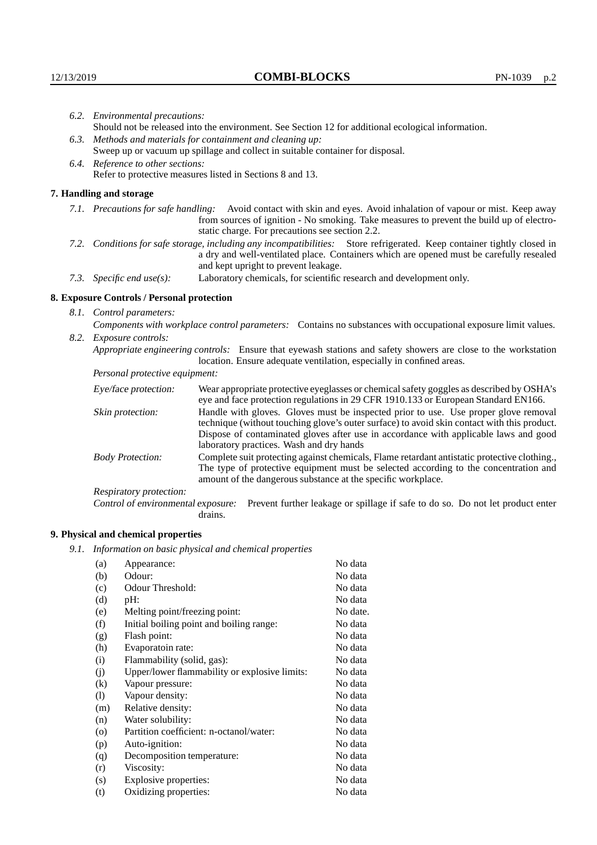|                                   | 6.2. Environmental precautions:                                                                                                                                                                                                                                    |                                                                                                                                                                                        |  |  |  |
|-----------------------------------|--------------------------------------------------------------------------------------------------------------------------------------------------------------------------------------------------------------------------------------------------------------------|----------------------------------------------------------------------------------------------------------------------------------------------------------------------------------------|--|--|--|
|                                   | Should not be released into the environment. See Section 12 for additional ecological information.                                                                                                                                                                 |                                                                                                                                                                                        |  |  |  |
|                                   | 6.3. Methods and materials for containment and cleaning up:                                                                                                                                                                                                        |                                                                                                                                                                                        |  |  |  |
|                                   | Sweep up or vacuum up spillage and collect in suitable container for disposal.                                                                                                                                                                                     |                                                                                                                                                                                        |  |  |  |
| 6.4. Reference to other sections: |                                                                                                                                                                                                                                                                    |                                                                                                                                                                                        |  |  |  |
|                                   |                                                                                                                                                                                                                                                                    | Refer to protective measures listed in Sections 8 and 13.                                                                                                                              |  |  |  |
|                                   | 7. Handling and storage                                                                                                                                                                                                                                            |                                                                                                                                                                                        |  |  |  |
|                                   | 7.1. Precautions for safe handling: Avoid contact with skin and eyes. Avoid inhalation of vapour or mist. Keep away<br>from sources of ignition - No smoking. Take measures to prevent the build up of electro-<br>static charge. For precautions see section 2.2. |                                                                                                                                                                                        |  |  |  |
|                                   | 7.2. Conditions for safe storage, including any incompatibilities: Store refrigerated. Keep container tightly closed in<br>a dry and well-ventilated place. Containers which are opened must be carefully resealed<br>and kept upright to prevent leakage.         |                                                                                                                                                                                        |  |  |  |
|                                   | Laboratory chemicals, for scientific research and development only.<br>7.3. Specific end use(s):                                                                                                                                                                   |                                                                                                                                                                                        |  |  |  |
|                                   | 8. Exposure Controls / Personal protection                                                                                                                                                                                                                         |                                                                                                                                                                                        |  |  |  |
|                                   | 8.1. Control parameters:                                                                                                                                                                                                                                           |                                                                                                                                                                                        |  |  |  |
|                                   | Components with workplace control parameters: Contains no substances with occupational exposure limit values.                                                                                                                                                      |                                                                                                                                                                                        |  |  |  |
|                                   | 8.2. Exposure controls:                                                                                                                                                                                                                                            |                                                                                                                                                                                        |  |  |  |
|                                   |                                                                                                                                                                                                                                                                    | Appropriate engineering controls: Ensure that eyewash stations and safety showers are close to the workstation<br>location. Ensure adequate ventilation, especially in confined areas. |  |  |  |
|                                   | Personal protective equipment:                                                                                                                                                                                                                                     |                                                                                                                                                                                        |  |  |  |
|                                   | Eye/face protection:                                                                                                                                                                                                                                               | Wear appropriate protective eyeglasses or chemical safety goggles as described by OSHA's<br>eye and face protection regulations in 29 CFR 1910.133 or European Standard EN166.         |  |  |  |
|                                   | Skin protection:                                                                                                                                                                                                                                                   | Handle with gloves. Gloves must be inspected prior to use. Use proper glove removal<br>technique (without touching glove's outer surface) to avoid skin contact with this product.     |  |  |  |

Dispose of contaminated gloves after use in accordance with applicable laws and good laboratory practices. Wash and dry hands Body Protection: Complete suit protecting against chemicals, Flame retardant antistatic protective clothing., The type of protective equipment must be selected according to the concentration and

amount of the dangerous substance at the specific workplace. Respiratory protection:

Control of environmental exposure: Prevent further leakage or spillage if safe to do so. Do not let product enter drains.

# **9. Physical and chemical properties**

*9.1. Information on basic physical and chemical properties*

| (a)                | Appearance:                                   | No data  |
|--------------------|-----------------------------------------------|----------|
| (b)                | Odour:                                        | No data  |
| (c)                | Odour Threshold:                              | No data  |
| (d)                | pH:                                           | No data  |
| (e)                | Melting point/freezing point:                 | No date. |
| (f)                | Initial boiling point and boiling range:      | No data  |
| (g)                | Flash point:                                  | No data  |
| (h)                | Evaporatoin rate:                             | No data  |
| (i)                | Flammability (solid, gas):                    | No data  |
| (j)                | Upper/lower flammability or explosive limits: | No data  |
| $\rm(k)$           | Vapour pressure:                              | No data  |
| (1)                | Vapour density:                               | No data  |
| (m)                | Relative density:                             | No data  |
| (n)                | Water solubility:                             | No data  |
| $\left( 0 \right)$ | Partition coefficient: n-octanol/water:       | No data  |
| (p)                | Auto-ignition:                                | No data  |
| (q)                | Decomposition temperature:                    | No data  |
| (r)                | Viscosity:                                    | No data  |
| (s)                | Explosive properties:                         | No data  |
| (t)                | Oxidizing properties:                         | No data  |